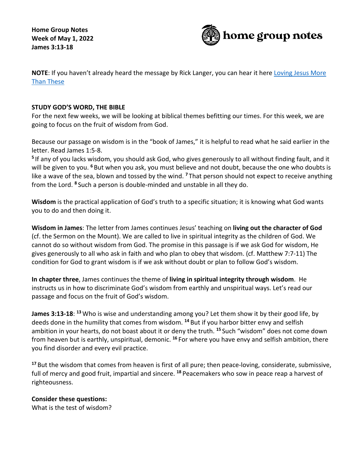**Home Group Notes Week of May 1, 2022 James 3:13-18**



**NOTE**: If you haven't already heard the message by Rick Langer, you can hear it here [Loving Jesus More](https://cms-production-api.monkcms.com/Clients/embed_video_preview.php?moduleRecordId=9920001&CMSCODE=EKK)  [Than These](https://cms-production-api.monkcms.com/Clients/embed_video_preview.php?moduleRecordId=9920001&CMSCODE=EKK)

## **STUDY GOD'S WORD, THE BIBLE**

For the next few weeks, we will be looking at biblical themes befitting our times. For this week, we are going to focus on the fruit of wisdom from God.

Because our passage on wisdom is in the "book of James," it is helpful to read what he said earlier in the letter. Read James 1:5-8.

**<sup>5</sup>** If any of you lacks wisdom, you should ask God, who gives generously to all without finding fault, and it will be given to you. **<sup>6</sup>** But when you ask, you must believe and not doubt, because the one who doubts is like a wave of the sea, blown and tossed by the wind. **<sup>7</sup>** That person should not expect to receive anything from the Lord. **<sup>8</sup>** Such a person is double-minded and unstable in all they do.

**Wisdom** is the practical application of God's truth to a specific situation; it is knowing what God wants you to do and then doing it.

**Wisdom in James**: The letter from James continues Jesus' teaching on **living out the character of God** (cf. the Sermon on the Mount). We are called to live in spiritual integrity as the children of God. We cannot do so without wisdom from God. The promise in this passage is if we ask God for wisdom, He gives generously to all who ask in faith and who plan to obey that wisdom. (cf. Matthew 7:7-11) The condition for God to grant wisdom is if we ask without doubt or plan to follow God's wisdom.

**In chapter three**, James continues the theme of **living in spiritual integrity through wisdom**. He instructs us in how to discriminate God's wisdom from earthly and unspiritual ways. Let's read our passage and focus on the fruit of God's wisdom.

**James 3:13-18**: **<sup>13</sup>** Who is wise and understanding among you? Let them show it by their good life, by deeds done in the humility that comes from wisdom. **<sup>14</sup>** But if you harbor bitter envy and selfish ambition in your hearts, do not boast about it or deny the truth. **<sup>15</sup>** Such "wisdom" does not come down from heaven but is earthly, unspiritual, demonic. **<sup>16</sup>** For where you have envy and selfish ambition, there you find disorder and every evil practice.

**<sup>17</sup>** But the wisdom that comes from heaven is first of all pure; then peace-loving, considerate, submissive, full of mercy and good fruit, impartial and sincere. **<sup>18</sup>** Peacemakers who sow in peace reap a harvest of righteousness.

## **Consider these questions:**

What is the test of wisdom?